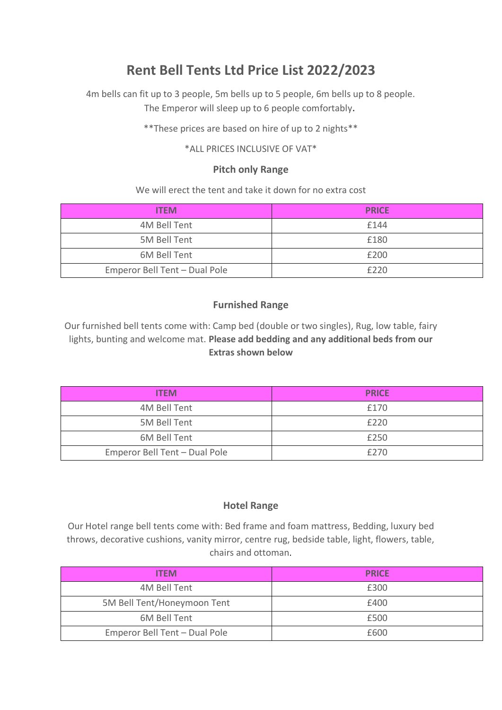# **Rent Bell Tents Ltd Price List 2022/2023**

4m bells can fit up to 3 people, 5m bells up to 5 people, 6m bells up to 8 people. The Emperor will sleep up to 6 people comfortably.

\*\*These prices are based on hire of up to 2 nights\*\*

\*ALL PRICES INCLUSIVE OF VAT\*

#### **Pitch only Range**

We will erect the tent and take it down for no extra cost

| <b>ITEM</b>                   | <b>PRICE</b> |
|-------------------------------|--------------|
| 4M Bell Tent                  | £144         |
| 5M Bell Tent                  | £180         |
| 6M Bell Tent                  | £200         |
| Emperor Bell Tent - Dual Pole | f220         |

## **Furnished Range**

Our furnished bell tents come with: Camp bed (double or two singles), Rug, low table, fairy lights, bunting and welcome mat. **Please add bedding and any additional beds from our Extras shown below** 

| <b>ITFM</b>                   | <b>PRICE</b> |
|-------------------------------|--------------|
| 4M Bell Tent                  | £170         |
| 5M Bell Tent                  | £220         |
| 6M Bell Tent                  | £250         |
| Emperor Bell Tent - Dual Pole | £270         |

## **Hotel Range**

Our Hotel range bell tents come with: Bed frame and foam mattress, Bedding, luxury bed throws, decorative cushions, vanity mirror, centre rug, bedside table, light, flowers, table, chairs and ottoman.

| <b>ITFM</b>                   | <b>PRICE</b> |
|-------------------------------|--------------|
| 4M Bell Tent                  | £300         |
| 5M Bell Tent/Honeymoon Tent   | £400         |
| 6M Bell Tent                  | £500         |
| Emperor Bell Tent - Dual Pole | £600         |